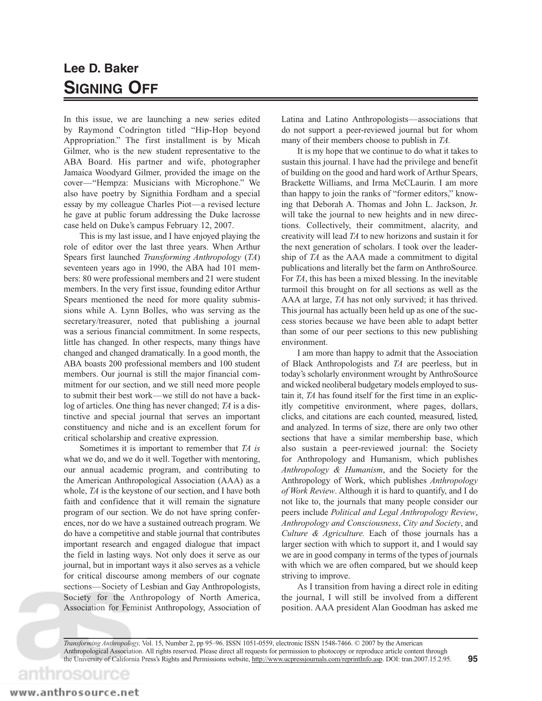## **Lee D. Baker SIGNING OFF**

In this issue, we are launching a new series edited by Raymond Codrington titled "Hip-Hop beyond Appropriation." The first installment is by Micah Gilmer, who is the new student representative to the ABA Board. His partner and wife, photographer Jamaica Woodyard Gilmer, provided the image on the cover—"Hempza: Musicians with Microphone." We also have poetry by Signithia Fordham and a special essay by my colleague Charles Piot—a revised lecture he gave at public forum addressing the Duke lacrosse case held on Duke's campus February 12, 2007.

This is my last issue, and I have enjoyed playing the role of editor over the last three years. When Arthur Spears first launched *Transforming Anthropology* (*TA*) seventeen years ago in 1990, the ABA had 101 members: 80 were professional members and 21 were student members. In the very first issue, founding editor Arthur Spears mentioned the need for more quality submissions while A. Lynn Bolles, who was serving as the secretary/treasurer, noted that publishing a journal was a serious financial commitment. In some respects, little has changed. In other respects, many things have changed and changed dramatically. In a good month, the ABA boasts 200 professional members and 100 student members. Our journal is still the major financial commitment for our section, and we still need more people to submit their best work—we still do not have a backlog of articles. One thing has never changed; *TA* is a distinctive and special journal that serves an important constituency and niche and is an excellent forum for critical scholarship and creative expression.

Sometimes it is important to remember that *TA is* what we do, and we do it well. Together with mentoring, our annual academic program, and contributing to the American Anthropological Association (AAA) as a whole, *TA* is the keystone of our section, and I have both faith and confidence that it will remain the signature program of our section. We do not have spring conferences, nor do we have a sustained outreach program. We do have a competitive and stable journal that contributes important research and engaged dialogue that impact the field in lasting ways. Not only does it serve as our journal, but in important ways it also serves as a vehicle for critical discourse among members of our cognate sections—Society of Lesbian and Gay Anthropologists, Society for the Anthropology of North America, Association for Feminist Anthropology, Association of Latina and Latino Anthropologists—associations that do not support a peer-reviewed journal but for whom many of their members choose to publish in *TA.*

It is my hope that we continue to do what it takes to sustain this journal. I have had the privilege and benefit of building on the good and hard work of Arthur Spears, Brackette Williams, and Irma McCLaurin. I am more than happy to join the ranks of "former editors," knowing that Deborah A. Thomas and John L. Jackson, Jr. will take the journal to new heights and in new directions. Collectively, their commitment, alacrity, and creativity will lead *TA* to new horizons and sustain it for the next generation of scholars. I took over the leadership of *TA* as the AAA made a commitment to digital publications and literally bet the farm on AnthroSource. For *TA*, this has been a mixed blessing. In the inevitable turmoil this brought on for all sections as well as the AAA at large, *TA* has not only survived; it has thrived. This journal has actually been held up as one of the success stories because we have been able to adapt better than some of our peer sections to this new publishing environment.

I am more than happy to admit that the Association of Black Anthropologists and *TA* are peerless, but in today's scholarly environment wrought by AnthroSource and wicked neoliberal budgetary models employed to sustain it, *TA* has found itself for the first time in an explicitly competitive environment, where pages, dollars, clicks, and citations are each counted, measured, listed, and analyzed. In terms of size, there are only two other sections that have a similar membership base, which also sustain a peer-reviewed journal: the Society for Anthropology and Humanism, which publishes *Anthropology & Humanism*, and the Society for the Anthropology of Work, which publishes *Anthropology of Work Review*. Although it is hard to quantify, and I do not like to, the journals that many people consider our peers include *Political and Legal Anthropology Review*, *Anthropology and Consciousness*, *City and Society*, and *Culture & Agriculture.* Each of those journals has a larger section with which to support it, and I would say we are in good company in terms of the types of journals with which we are often compared, but we should keep striving to improve.

As I transition from having a direct role in editing the journal, I will still be involved from a different position. AAA president Alan Goodman has asked me

**95** *Transforming Anthropology,* Vol. 15, Number 2, pp 95–96. ISSN 1051-0559, electronic ISSN 1548-7466. © 2007 by the American Anthropological Association. All rights reserved. Please direct all requests for permission to photocopy or reproduce article content through the University of California Press's Rights and Permissions website, http://www.ucpressjournals.com/reprintInfo.asp. DOI: tran.2007.15.2.95.